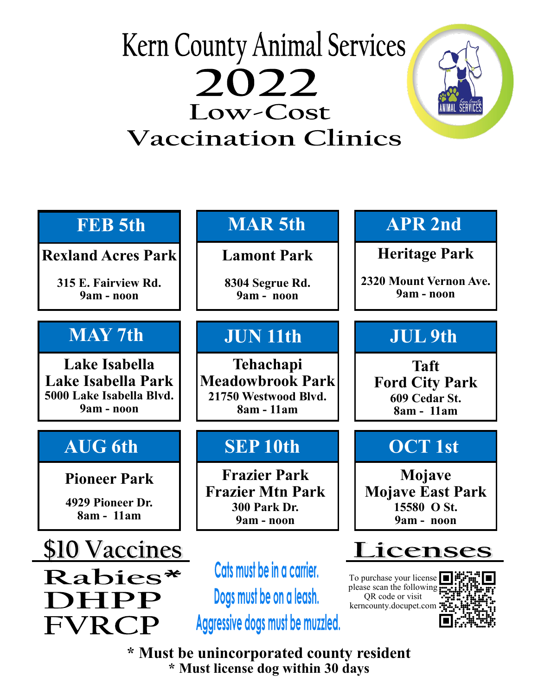## **Kern County Animal Services** 2022 Low-Cost **Vaccination Clinics**



| <b>FEB</b> 5th                                                                | <b>MAR5th</b>                                                                              | <b>APR 2nd</b>                                                                                                                    |
|-------------------------------------------------------------------------------|--------------------------------------------------------------------------------------------|-----------------------------------------------------------------------------------------------------------------------------------|
| <b>Rexland Acres Park</b>                                                     | <b>Lamont Park</b>                                                                         | <b>Heritage Park</b>                                                                                                              |
| 315 E. Fairview Rd.<br>9am - noon                                             | 8304 Segrue Rd.<br>9am - noon                                                              | 2320 Mount Vernon Ave.<br>9am - noon                                                                                              |
| <b>MAY 7th</b>                                                                | <b>JUN 11th</b>                                                                            | <b>JUL 9th</b>                                                                                                                    |
| Lake Isabella<br>Lake Isabella Park<br>5000 Lake Isabella Blvd.<br>9am - noon | <b>Tehachapi</b><br><b>Meadowbrook Park</b><br>21750 Westwood Blvd.<br>8am - 11am          | <b>Taft</b><br><b>Ford City Park</b><br>609 Cedar St.<br>8am - 11am                                                               |
| <b>AUG 6th</b>                                                                | <b>SEP10th</b>                                                                             | <b>OCT 1st</b>                                                                                                                    |
| <b>Pioneer Park</b><br>4929 Pioneer Dr.<br>8am - 11am                         | <b>Frazier Park</b><br><b>Frazier Mtn Park</b><br>300 Park Dr.<br>9am - noon               | Mojave<br><b>Mojave East Park</b><br>15580 O St.<br>9am - noon                                                                    |
| \$10 Vaccines                                                                 |                                                                                            | Licenses                                                                                                                          |
| Rabies*<br>DHPP                                                               | Cats must be in a carrier.<br>Dogs must be on a leash.<br>Aggressive dogs must be muzzled. | To purchase your license $\blacksquare$<br>please scan the following $\frac{1}{r}$<br>QR code or visit<br>kerncounty.docupet.com: |

**\* Must be unincorporated county resident \* Must license dog within 30 days**